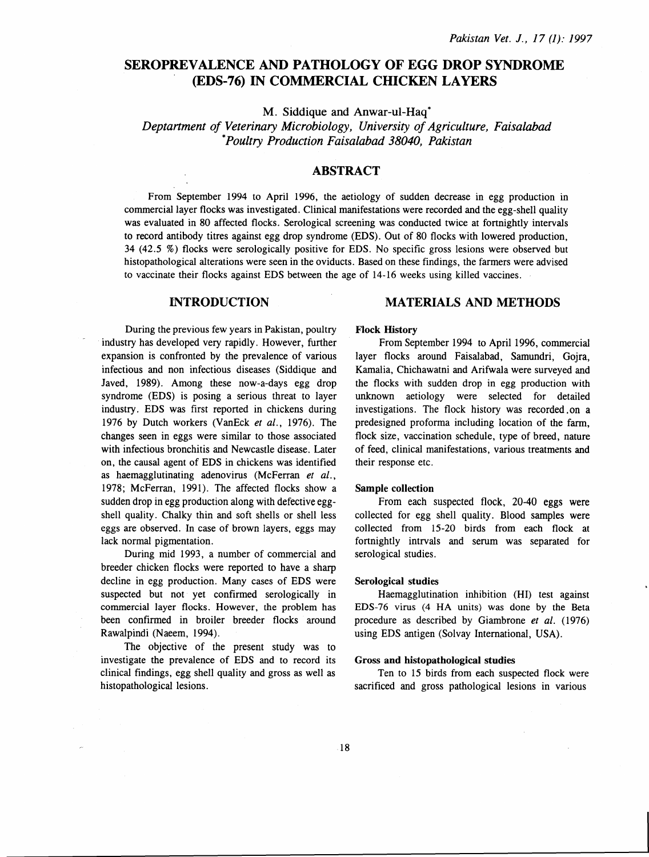# SEROPREVALENCE AND PATHOLOGY OF EGG DROP SYNDROME (EDS-76) IN COMMERCIAL CHICKEN LAYERS

M. Siddique and Anwar-ul-Haq\*

*Deptartment of Veterinary Microbiology, University of Agriculture, Faisalabad \*Poultry Production Faisalabad 38040, Pakistan* 

# ABSTRACT

From September 1994 to April 1996, the aetiology of sudden decrease in egg production in commercial layer flocks was investigated. Clinical manifestations were recorded and the egg-shell quality was evaluated in 80 affected flocks. Serological screening was conducted twice at fortnightly intervals to record antibody titres against egg drop syndrome (EDS). Out of 80 flocks with lowered production, 34 (42.5 %) flocks were serologically positive for EDS. No specific gross lesions were observed but histopathological alterations were seen in the oviducts. Based on these findings, the farmers were advised to vaccinate their flocks against EDS between the age of 14-16 weeks using killed vaccines.

# INTRODUCTION

During the previous few years in Pakistan, poultry industry has developed very rapidly. However, further expansion is confronted by the prevalence of various infectious and non infectious diseases (Siddique and Javed, 1989). Among these now-a-days egg drop syndrome (EDS) is posing a serious threat to layer industry. EDS was first reported in chickens during 1976 by Dutch workers (VanEck et al., 1976). The changes seen in eggs were similar to those associated with infectious bronchitis and Newcastle disease. Later on, the causal agent of EDS in chickens was identified as haemagglutinating adenovirus (McFerran *et al.,*  1978; McFerran, 1991). The affected flocks show a sudden drop in egg production along with defective eggshell quality. Chalky thin and soft shells or shell less eggs are observed. In case of brown layers, eggs may lack normal pigmentation.

During mid 1993, a number of commercial and breeder chicken flocks were reported to have a sharp decline in egg production. Many cases of EDS were suspected but not yet confirmed serologically in commercial layer flocks. However, the problem has been confirmed in broiler breeder flocks around Rawalpindi (Naeem, 1994).

The objective of the present study was to investigate the prevalence of EDS and to record its clinical findings, egg shell quality and gross as well as histopathological lesions.

# MATERIALS AND METHODS

## Flock History

From September 1994 to April 1996, commercial layer flocks around Faisalabad, Samundri, Gojra, Kamalia, Chichawatni and Arifwala were surveyed and the flocks with sudden drop in egg production with unknown aetiology were selected for detailed investigations. The flock history was recorded .on a predesigned proforma including location of the farm, flock size, vaccination schedule, type of breed, nature of feed, clinical manifestations, various treatments and their response etc.

### Sample collection

From each suspected flock, 20-40 eggs were collected for egg shell quality. Blood samples were collected from 15-20 birds from each flock at fortnightly intrvals and serum was separated for serological studies.

#### Serological studies

Haemagglutination inhibition (HI) test against EDS-76 virus (4 HA units) was done by the Beta procedure as described by Giambrone *et al.* (1976) using EDS antigen (Solvay International, USA).

#### Gross and histopathological studies

Ten to 15 birds from each suspected flock were sacrificed and gross pathological lesions in various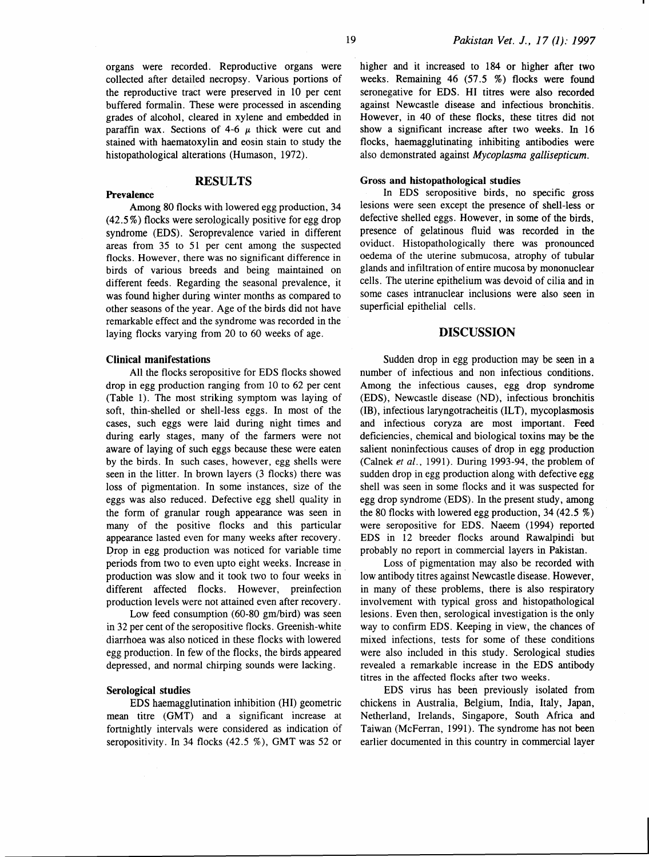grades of alcohol, cleared in xylene and embedded in paraffin wax. Sections of 4-6  $\mu$  thick were cut and stained with haematoxylin and eosin stain to study the histopathological alterations (Humason, 1972).

# RESULTS

Among 80 flocks with lowered egg production, 34 ( 42.5%) flocks were serologically positive for egg drop syndrome (EDS). Seroprevalence varied in different areas from 35 to 51 per cent among the suspected flocks. However, there was no significant difference in birds of various breeds and being maintained on different feeds. Regarding the seasonal prevalence, it was found higher during winter months as compared to other seasons of the year. Age of the birds did not have remarkable effect and the syndrome was recorded in the laying flocks varying from 20 to 60 weeks of age.

#### Clinical manifestations

Prevalence

All the flocks seropositive for EDS flocks showed drop in egg production ranging from 10 to 62 per cent (Table 1). The most striking symptom was laying of soft, thin-shelled or shell-less eggs. In most of the cases, such eggs were laid during night times and during early stages, many of the farmers were not aware of laying of such eggs because these were eaten by the birds. In such cases, however, egg shells were seen in the litter. In brown layers (3 flocks) there was loss of pigmentation. In some instances, size of the eggs was also reduced. Defective egg shell quality in the form of granular rough appearance was seen in many of the positive flocks and this particular appearance lasted even for many weeks after recovery. Drop in egg production was noticed for variable time periods from two to even upto eight weeks. Increase in production was slow and it took two to four weeks in different affected flocks. However, preinfection production levels were not attained even after recovery.

Low feed consumption (60-80 gm/bird) was seen in 32 per cent of the seropositive flocks. Greenish-white diarrhoea was also noticed in these flocks with lowered egg production. In few of the flocks, the birds appeared depressed, and normal chirping sounds were lacking.

## Serological studies

EDS haemagglutination inhibition (HI) geometric mean titre (GMT) and a significant increase at fortnightly intervals were considered as indication of seropositivity. In 34 flocks (42.5 %), GMT was 52 or

higher and it increased to 184 or higher after two weeks. Remaining 46 (57.5 %) flocks were found seronegative for EDS. HI titres were also recorded against Newcastle disease and infectious bronchitis. However, in 40 of these flocks, these titres did not show a significant increase after two weeks. In 16 flocks, haemagglutinating inhibiting antibodies were also demonstrated against *Mycoplasma gallisepticum.* 

#### Gross and histopathological studies

In EDS seropositive birds, no specific gross lesions were seen except the presence of shell-less or defective shelled eggs. However, in some of the birds, presence of gelatinous fluid was recorded in the oviduct. Histopathologically there was pronounced oedema of the uterine submucosa, atrophy of tubular glands and infiltration of entire mucosa by mononuclear cells. The uterine epithelium was devoid of cilia and in some cases intranuclear inclusions were also seen in superficial epithelial cells.

## DISCUSSION

Sudden drop in egg production may be seen in a number of infectious and non infectious conditions. Among the infectious causes, egg drop syndrome (EDS), Newcastle disease (ND), infectious bronchitis (IB), infectious laryngotracheitis (IL T), mycoplasmosis and infectious coryza are most important. Feed deficiencies, chemical and biological toxins may be the salient noninfectious causes of drop in egg production (Calnek *et al.,* 1991). During 1993-94, the problem of sudden drop in egg production along with defective egg shell was seen in some flocks and it was suspected for egg drop syndrome (EDS). In the present study, among the 80 flocks with lowered egg production, 34 (42.5 %) were seropositive for EDS. Naeem (1994) reported EDS in 12 breeder flocks around Rawalpindi but probably no report in commercial layers in Pakistan.

Loss of pigmentation may also be recorded with low antibody titres against Newcastle disease. However, in many of these problems, there is also respiratory involvement with typical gross and histopathological lesions. Even then, serological investigation is the only way to confirm EDS. Keeping in view, the chances of mixed infections, tests for some of these conditions were also included in this study. Serological studies revealed a remarkable increase in the EDS antibody titres in the affected flocks after two weeks.

EDS virus has been previously isolated from chickens in Australia, Belgium, India, Italy, Japan, Netherland, Irelands, Singapore, South Africa and Taiwan (McFerran, 1991). The syndrome has not been earlier documented in this country in commercial layer